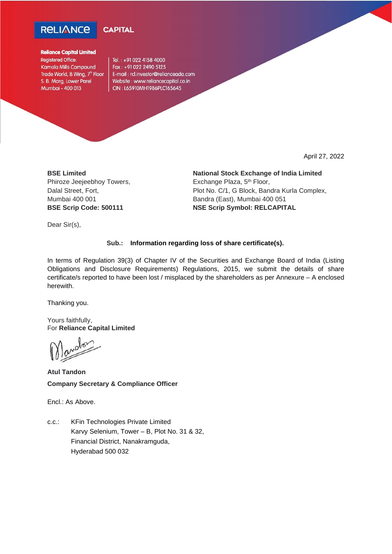



## **Reliance Capital Limited**

**Registered Office:** Kamala Mills Compound Trade World, B Wing, 7<sup>th</sup> Floor S. B. Marg, Lower Parel Mumbai - 400 013

Tel.: +91 022 4158 4000 Fax: +91 022 2490 5125 E-mail: rcl.investor@relianceada.com Website: www.reliancecapital.co.in CIN: L65910MH1986PLC165645

April 27, 2022

**BSE Limited** Phiroze Jeejeebhoy Towers, Dalal Street, Fort, Mumbai 400 001 **BSE Scrip Code: 500111**

**National Stock Exchange of India Limited** Exchange Plaza, 5<sup>th</sup> Floor, Plot No. C/1, G Block, Bandra Kurla Complex, Bandra (East), Mumbai 400 051 **NSE Scrip Symbol: RELCAPITAL**

Dear Sir(s),

## **Sub.: Information regarding loss of share certificate(s).**

In terms of Regulation 39(3) of Chapter IV of the Securities and Exchange Board of India (Listing Obligations and Disclosure Requirements) Regulations, 2015, we submit the details of share certificate/s reported to have been lost / misplaced by the shareholders as per Annexure – A enclosed herewith.

Thanking you.

Yours faithfully, For **Reliance Capital Limited**

**Atul Tandon Company Secretary & Compliance Officer**

Encl.: As Above.

c.c.: KFin Technologies Private Limited Karvy Selenium, Tower – B, Plot No. 31 & 32, Financial District, Nanakramguda, Hyderabad 500 032